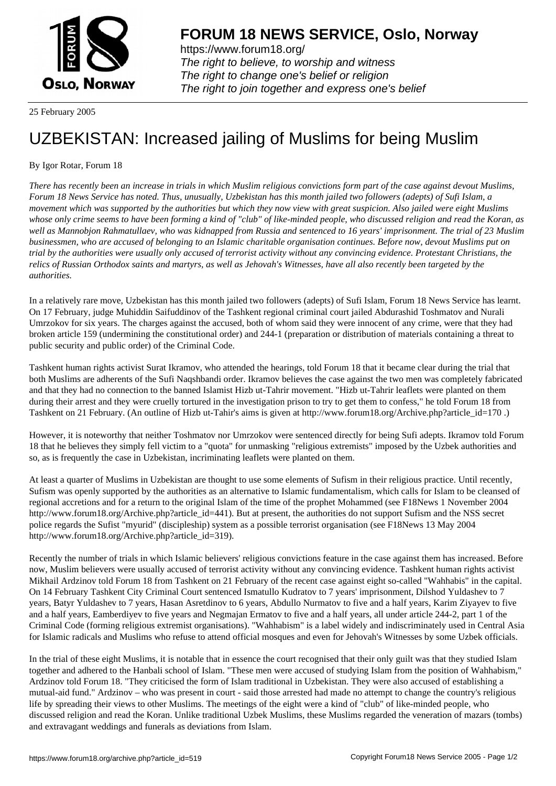

https://www.forum18.org/ The right to believe, to worship and witness The right to change one's belief or religion [The right to join together a](https://www.forum18.org/)nd express one's belief

25 February 2005

## [UZBEKISTAN:](https://www.forum18.org) Increased jailing of Muslims for being Muslim

## By Igor Rotar, Forum 18

*There has recently been an increase in trials in which Muslim religious convictions form part of the case against devout Muslims, Forum 18 News Service has noted. Thus, unusually, Uzbekistan has this month jailed two followers (adepts) of Sufi Islam, a movement which was supported by the authorities but which they now view with great suspicion. Also jailed were eight Muslims whose only crime seems to have been forming a kind of "club" of like-minded people, who discussed religion and read the Koran, as well as Mannobjon Rahmatullaev, who was kidnapped from Russia and sentenced to 16 years' imprisonment. The trial of 23 Muslim businessmen, who are accused of belonging to an Islamic charitable organisation continues. Before now, devout Muslims put on trial by the authorities were usually only accused of terrorist activity without any convincing evidence. Protestant Christians, the relics of Russian Orthodox saints and martyrs, as well as Jehovah's Witnesses, have all also recently been targeted by the authorities.*

In a relatively rare move, Uzbekistan has this month jailed two followers (adepts) of Sufi Islam, Forum 18 News Service has learnt. On 17 February, judge Muhiddin Saifuddinov of the Tashkent regional criminal court jailed Abdurashid Toshmatov and Nurali Umrzokov for six years. The charges against the accused, both of whom said they were innocent of any crime, were that they had broken article 159 (undermining the constitutional order) and 244-1 (preparation or distribution of materials containing a threat to public security and public order) of the Criminal Code.

Tashkent human rights activist Surat Ikramov, who attended the hearings, told Forum 18 that it became clear during the trial that both Muslims are adherents of the Sufi Naqshbandi order. Ikramov believes the case against the two men was completely fabricated and that they had no connection to the banned Islamist Hizb ut-Tahrir movement. "Hizb ut-Tahrir leaflets were planted on them during their arrest and they were cruelly tortured in the investigation prison to try to get them to confess," he told Forum 18 from Tashkent on 21 February. (An outline of Hizb ut-Tahir's aims is given at http://www.forum18.org/Archive.php?article\_id=170 .)

However, it is noteworthy that neither Toshmatov nor Umrzokov were sentenced directly for being Sufi adepts. Ikramov told Forum 18 that he believes they simply fell victim to a "quota" for unmasking "religious extremists" imposed by the Uzbek authorities and so, as is frequently the case in Uzbekistan, incriminating leaflets were planted on them.

At least a quarter of Muslims in Uzbekistan are thought to use some elements of Sufism in their religious practice. Until recently, Sufism was openly supported by the authorities as an alternative to Islamic fundamentalism, which calls for Islam to be cleansed of regional accretions and for a return to the original Islam of the time of the prophet Mohammed (see F18News 1 November 2004 http://www.forum18.org/Archive.php?article\_id=441). But at present, the authorities do not support Sufism and the NSS secret police regards the Sufist "myurid" (discipleship) system as a possible terrorist organisation (see F18News 13 May 2004 http://www.forum18.org/Archive.php?article\_id=319).

Recently the number of trials in which Islamic believers' religious convictions feature in the case against them has increased. Before now, Muslim believers were usually accused of terrorist activity without any convincing evidence. Tashkent human rights activist Mikhail Ardzinov told Forum 18 from Tashkent on 21 February of the recent case against eight so-called "Wahhabis" in the capital. On 14 February Tashkent City Criminal Court sentenced Ismatullo Kudratov to 7 years' imprisonment, Dilshod Yuldashev to 7 years, Batyr Yuldashev to 7 years, Hasan Asretdinov to 6 years, Abdullo Nurmatov to five and a half years, Karim Ziyayev to five and a half years, Eamberdiyev to five years and Negmajan Ermatov to five and a half years, all under article 244-2, part 1 of the Criminal Code (forming religious extremist organisations). "Wahhabism" is a label widely and indiscriminately used in Central Asia for Islamic radicals and Muslims who refuse to attend official mosques and even for Jehovah's Witnesses by some Uzbek officials.

In the trial of these eight Muslims, it is notable that in essence the court recognised that their only guilt was that they studied Islam together and adhered to the Hanbali school of Islam. "These men were accused of studying Islam from the position of Wahhabism," Ardzinov told Forum 18. "They criticised the form of Islam traditional in Uzbekistan. They were also accused of establishing a mutual-aid fund." Ardzinov – who was present in court - said those arrested had made no attempt to change the country's religious life by spreading their views to other Muslims. The meetings of the eight were a kind of "club" of like-minded people, who discussed religion and read the Koran. Unlike traditional Uzbek Muslims, these Muslims regarded the veneration of mazars (tombs) and extravagant weddings and funerals as deviations from Islam.